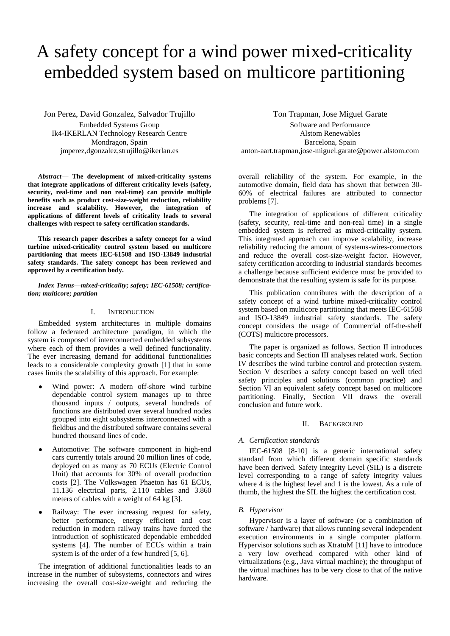# A safety concept for a wind power mixed-criticality embedded system based on multicore partitioning

Jon Perez, David Gonzalez, Salvador Trujillo Embedded Systems Group

Ik4-IKERLAN Technology Research Centre Mondragon, Spain jmperez,dgonzalez,strujillo@ikerlan.es

*Abstract***— The development of mixed-criticality systems that integrate applications of different criticality levels (safety, security, real-time and non real-time) can provide multiple benefits such as product cost-size-weight reduction, reliability increase and scalability. However, the integration of applications of different levels of criticality leads to several challenges with respect to safety certification standards.**

**This research paper describes a safety concept for a wind turbine mixed-criticality control system based on multicore partitioning that meets IEC-61508 and ISO-13849 industrial safety standards. The safety concept has been reviewed and approved by a certification body.**

*Index Terms—mixed-criticality; safety; IEC-61508; certification; multicore; partition*

#### I. INTRODUCTION

Embedded system architectures in multiple domains follow a federated architecture paradigm, in which the system is composed of interconnected embedded subsystems where each of them provides a well defined functionality. The ever increasing demand for additional functionalities leads to a considerable complexity growth [\[1\]](#page-5-0) that in some cases limits the scalability of this approach. For example:

- $\bullet$ Wind power: A modern off-shore wind turbine dependable control system manages up to three thousand inputs / outputs, several hundreds of functions are distributed over several hundred nodes grouped into eight subsystems interconnected with a fieldbus and the distributed software contains several hundred thousand lines of code.
- Automotive: The software component in high-end cars currently totals around 20 million lines of code, deployed on as many as 70 ECUs (Electric Control Unit) that accounts for 30% of overall production costs [\[2\]](#page-5-1). The Volkswagen Phaeton has 61 ECUs, 11.136 electrical parts, 2.110 cables and 3.860 meters of cables with a weight of 64 kg [\[3\]](#page-5-2).
- Railway: The ever increasing request for safety, better performance, energy efficient and cost reduction in modern railway trains have forced the introduction of sophisticated dependable embedded systems [\[4\]](#page-5-3). The number of ECUs within a train system is of the order of a few hundred [\[5,](#page-6-0) [6\]](#page-6-1).

The integration of additional functionalities leads to an increase in the number of subsystems, connectors and wires increasing the overall cost-size-weight and reducing the Ton Trapman, Jose Miguel Garate

Software and Performance Alstom Renewables Barcelona, Spain anton-aart.trapman,jose-miguel.garate@power.alstom.com

overall reliability of the system. For example, in the automotive domain, field data has shown that between 30- 60% of electrical failures are attributed to connector problems [\[7\]](#page-6-2).

The integration of applications of different criticality (safety, security, real-time and non-real time) in a single embedded system is referred as mixed-criticality system. This integrated approach can improve scalability, increase reliability reducing the amount of systems-wires-connectors and reduce the overall cost-size-weight factor. However, safety certification according to industrial standards becomes a challenge because sufficient evidence must be provided to demonstrate that the resulting system is safe for its purpose.

This publication contributes with the description of a safety concept of a wind turbine mixed-criticality control system based on multicore partitioning that meets IEC-61508 and ISO-13849 industrial safety standards. The safety concept considers the usage of Commercial off-the-shelf (COTS) multicore processors.

The paper is organized as follows. Section [II](#page-0-0) introduces basic concepts and Section [III](#page-1-0) analyses related work. Section [IV](#page-1-1) describes the wind turbine control and protection system. Section [V](#page-2-0) describes a safety concept based on well tried safety principles and solutions (common practice) and Section [VI](#page-2-1) an equivalent safety concept based on multicore partitioning. Finally, Section [VII](#page-5-4) draws the overall conclusion and future work.

#### II. BACKGROUND

#### <span id="page-0-0"></span>*A. Certification standards*

IEC-61508 [\[8-10\]](#page-6-3) is a generic international safety standard from which different domain specific standards have been derived. Safety Integrity Level (SIL) is a discrete level corresponding to a range of safety integrity values where 4 is the highest level and 1 is the lowest. As a rule of thumb, the highest the SIL the highest the certification cost.

#### *B. Hypervisor*

Hypervisor is a layer of software (or a combination of software / hardware) that allows running several independent execution environments in a single computer platform. Hypervisor solutions such as XtratuM [\[11\]](#page-6-4) have to introduce a very low overhead compared with other kind of virtualizations (e.g., Java virtual machine); the throughput of the virtual machines has to be very close to that of the native hardware.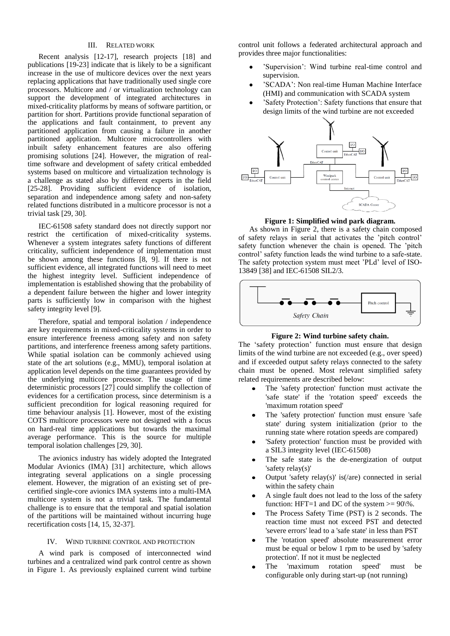## III. RELATED WORK

<span id="page-1-0"></span>Recent analysis [\[12-17\]](#page-6-5), research projects [\[18\]](#page-6-6) and publications [\[19-23\]](#page-6-7) indicate that is likely to be a significant increase in the use of multicore devices over the next years replacing applications that have traditionally used single core processors. Multicore and / or virtualization technology can support the development of integrated architectures in mixed-criticality platforms by means of software partition, or partition for short. Partitions provide functional separation of the applications and fault containment, to prevent any partitioned application from causing a failure in another partitioned application. Multicore microcontrollers with inbuilt safety enhancement features are also offering promising solutions [\[24\]](#page-6-8). However, the migration of realtime software and development of safety critical embedded systems based on multicore and virtualization technology is a challenge as stated also by different experts in the field [\[25-28\]](#page-6-9). Providing sufficient evidence of isolation, separation and independence among safety and non-safety related functions distributed in a multicore processor is not a trivial task [\[29,](#page-6-10) [30\]](#page-6-11).

IEC-61508 safety standard does not directly support nor restrict the certification of mixed-criticality systems. Whenever a system integrates safety functions of different criticality, sufficient independence of implementation must be shown among these functions [\[8,](#page-6-3) [9\]](#page-6-12). If there is not sufficient evidence, all integrated functions will need to meet the highest integrity level. Sufficient independence of implementation is established showing that the probability of a dependent failure between the higher and lower integrity parts is sufficiently low in comparison with the highest safety integrity level [\[9\]](#page-6-12).

Therefore, spatial and temporal isolation / independence are key requirements in mixed-criticality systems in order to ensure interference freeness among safety and non safety partitions, and interference freeness among safety partitions. While spatial isolation can be commonly achieved using state of the art solutions (e.g., MMU), temporal isolation at application level depends on the time guarantees provided by the underlying multicore processor. The usage of time deterministic processors [\[27\]](#page-6-13) could simplify the collection of evidences for a certification process, since determinism is a sufficient precondition for logical reasoning required for time behaviour analysis [\[1\]](#page-5-0). However, most of the existing COTS multicore processors were not designed with a focus on hard-real time applications but towards the maximal average performance. This is the source for multiple temporal isolation challenges [\[29,](#page-6-10) [30\]](#page-6-11).

The avionics industry has widely adopted the Integrated Modular Avionics (IMA) [\[31\]](#page-6-14) architecture, which allows integrating several applications on a single processing element. However, the migration of an existing set of precertified single-core avionics IMA systems into a multi-IMA multicore system is not a trivial task. The fundamental challenge is to ensure that the temporal and spatial isolation of the partitions will be maintained without incurring huge recertification costs [\[14,](#page-6-15) [15,](#page-6-16) [32-37\]](#page-6-17).

#### IV. WIND TURBINE CONTROL AND PROTECTION

<span id="page-1-1"></span>A wind park is composed of interconnected wind turbines and a centralized wind park control centre as shown in [Figure 1.](#page-1-2) As previously explained current wind turbine control unit follows a federated architectural approach and provides three major functionalities:

- 'Supervision': Wind turbine real-time control and supervision.
- 'SCADA': Non real-time Human Machine Interface (HMI) and communication with SCADA system
- 'Safety Protection': Safety functions that ensure that design limits of the wind turbine are not exceeded



**Figure 1: Simplified wind park diagram.**

<span id="page-1-2"></span>As shown in [Figure 2,](#page-1-3) there is a safety chain composed of safety relays in serial that activates the 'pitch control' safety function whenever the chain is opened. The 'pitch control' safety function leads the wind turbine to a safe-state. The safety protection system must meet 'PLd' level of ISO-13849 [\[38\]](#page-7-0) and IEC-61508 SIL2/3.



# **Figure 2: Wind turbine safety chain.**

<span id="page-1-3"></span>The 'safety protection' function must ensure that design limits of the wind turbine are not exceeded (e.g., over speed) and if exceeded output safety relays connected to the safety chain must be opened. Most relevant simplified safety related requirements are described below:

- The 'safety protection' function must activate the 'safe state' if the 'rotation speed' exceeds the 'maximum rotation speed'
- The 'safety protection' function must ensure 'safe state' during system initialization (prior to the running state where rotation speeds are compared)
- 'Safety protection' function must be provided with a SIL3 integrity level (IEC-61508)
- The safe state is the de-energization of output 'safety relay(s)'
- Output 'safety relay(s)' is(/are) connected in serial within the safety chain
- A single fault does not lead to the loss of the safety function: HFT=1 and DC of the system  $>= 90\%$ .
- The Process Safety Time (PST) is 2 seconds. The reaction time must not exceed PST and detected 'severe errors' lead to a 'safe state' in less than PST
- The 'rotation speed' absolute measurement error must be equal or below 1 rpm to be used by 'safety protection'. If not it must be neglected
- The 'maximum rotation speed' must be configurable only during start-up (not running)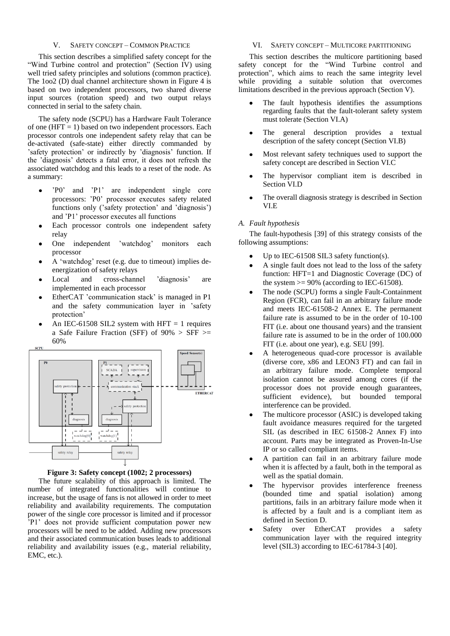#### V. SAFETY CONCEPT – COMMON PRACTICE

<span id="page-2-0"></span>This section describes a simplified safety concept for the "Wind Turbine control and protection" (Section [IV\)](#page-1-1) using well tried safety principles and solutions (common practice). The 1oo2 (D) dual channel architecture shown in [Figure 4](#page-3-0) is based on two independent processors, two shared diverse input sources (rotation speed) and two output relays connected in serial to the safety chain.

The safety node (SCPU) has a Hardware Fault Tolerance of one  $(HFT = 1)$  based on two independent processors. Each processor controls one independent safety relay that can be de-activated (safe-state) either directly commanded by 'safety protection' or indirectly by 'diagnosis' function. If the 'diagnosis' detects a fatal error, it does not refresh the associated watchdog and this leads to a reset of the node. As a summary:

- 'P0' and 'P1' are independent single core  $\bullet$ processors: 'P0' processor executes safety related functions only ('safety protection' and 'diagnosis') and 'P1' processor executes all functions
- Each processor controls one independent safety relay
- One independent 'watchdog' monitors each processor
- A 'watchdog' reset (e.g. due to timeout) implies deenergization of safety relays
- Local and cross-channel 'diagnosis' are implemented in each processor
- EtherCAT 'communication stack' is managed in P1 and the safety communication layer in 'safety protection'
- An IEC-61508 SIL2 system with HFT  $= 1$  requires a Safe Failure Fraction (SFF) of  $90\% >$  SFF  $\ge$ 60%



## **Figure 3: Safety concept (1002; 2 processors)**

<span id="page-2-4"></span>The future scalability of this approach is limited. The number of integrated functionalities will continue to increase, but the usage of fans is not allowed in order to meet reliability and availability requirements. The computation power of the single core processor is limited and if processor 'P1' does not provide sufficient computation power new processors will be need to be added. Adding new processors and their associated communication buses leads to additional reliability and availability issues (e.g., material reliability, EMC, etc.).

#### VI. SAFETY CONCEPT – MULTICORE PARTITIONING

<span id="page-2-1"></span>This section describes the multicore partitioning based safety concept for the "Wind Turbine control and protection", which aims to reach the same integrity level while providing a suitable solution that overcomes limitations described in the previous approach (Section [V\)](#page-2-0).

- The fault hypothesis identifies the assumptions regarding faults that the fault-tolerant safety system must tolerate (Section [VI.A\)](#page-2-2)
- The general description provides a textual  $\bullet$ description of the safety concept (Section [VI.B\)](#page-2-3)
- $\bullet$ Most relevant safety techniques used to support the safety concept are described in Section [VI.C](#page-4-0)
- The hypervisor compliant item is described in  $\bullet$ Sectio[n VI.D](#page-4-1)
- The overall diagnosis strategy is described in Section [VI.E](#page-5-5)

#### <span id="page-2-2"></span>*A. Fault hypothesis*

The fault-hypothesis [\[39\]](#page-7-1) of this strategy consists of the following assumptions:

- Up to IEC-61508 SIL3 safety function(s).
- A single fault does not lead to the loss of the safety function: HFT=1 and Diagnostic Coverage (DC) of the system  $>= 90\%$  (according to IEC-61508).
- The node (SCPU) forms a single Fault-Containment Region (FCR), can fail in an arbitrary failure mode and meets IEC-61508-2 Annex E. The permanent failure rate is assumed to be in the order of 10-100 FIT (i.e. about one thousand years) and the transient failure rate is assumed to be in the order of 100.000 FIT (i.e. about one year), e.g. SEU [99].
- A heterogeneous quad-core processor is available  $\bullet$ (diverse core, x86 and LEON3 FT) and can fail in an arbitrary failure mode. Complete temporal isolation cannot be assured among cores (if the processor does not provide enough guarantees, sufficient evidence), but bounded temporal interference can be provided.
- The multicore processor (ASIC) is developed taking  $\bullet$ fault avoidance measures required for the targeted SIL (as described in IEC 61508-2 Annex F) into account. Parts may be integrated as Proven-In-Use IP or so called compliant items.
- A partition can fail in an arbitrary failure mode when it is affected by a fault, both in the temporal as well as the spatial domain.
- The hypervisor provides interference freeness (bounded time and spatial isolation) among partitions, fails in an arbitrary failure mode when it is affected by a fault and is a compliant item as defined in Section [D.](#page-4-1)
- <span id="page-2-3"></span>Safety over EtherCAT provides a safety communication layer with the required integrity level (SIL3) according to IEC-61784-3 [\[40\]](#page-7-2).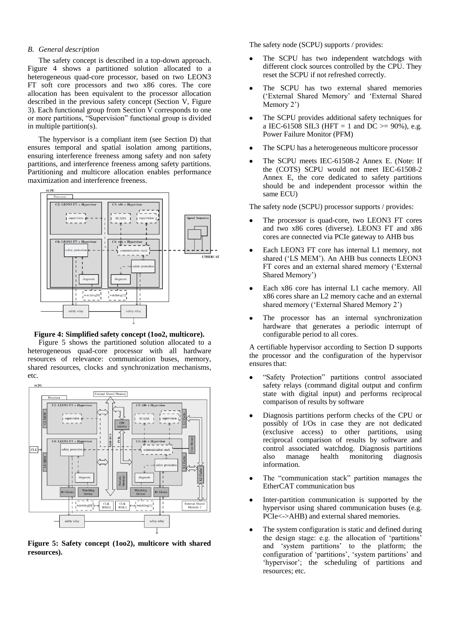#### *B. General description*

The safety concept is described in a top-down approach. [Figure 4](#page-3-0) shows a partitioned solution allocated to a heterogeneous quad-core processor, based on two LEON3 FT soft core processors and two x86 cores. The core allocation has been equivalent to the processor allocation described in the previous safety concept (Section [V,](#page-2-0) [Figure](#page-2-4)  [3\)](#page-2-4). Each functional group from Section [V](#page-2-0) corresponds to one or more partitions, "Supervision" functional group is divided in multiple partition(s).

The hypervisor is a compliant item (see Section [D\)](#page-4-1) that ensures temporal and spatial isolation among partitions, ensuring interference freeness among safety and non safety partitions, and interference freeness among safety partitions. Partitioning and multicore allocation enables performance maximization and interference freeness.



<span id="page-3-0"></span>**Figure 4: Simplified safety concept (1oo2, multicore).**

[Figure 5](#page-3-1) shows the partitioned solution allocated to a heterogeneous quad-core processor with all hardware resources of relevance: communication buses, memory, shared resources, clocks and synchronization mechanisms, etc.



<span id="page-3-1"></span>**Figure 5: Safety concept (1oo2), multicore with shared resources).**

The safety node (SCPU) supports / provides:

- The SCPU has two independent watchdogs with different clock sources controlled by the CPU. They reset the SCPU if not refreshed correctly.
- The SCPU has two external shared memories  $\bullet$ ('External Shared Memory' and 'External Shared Memory 2')
- The SCPU provides additional safety techniques for a IEC-61508 SIL3 (HFT = 1 and DC >=  $90\%$ ), e.g. Power Failure Monitor (PFM)
- The SCPU has a heterogeneous multicore processor
- The SCPU meets IEC-61508-2 Annex E. (Note: If the (COTS) SCPU would not meet IEC-61508-2 Annex E, the core dedicated to safety partitions should be and independent processor within the same ECU)

The safety node (SCPU) processor supports / provides:

- The processor is quad-core, two LEON3 FT cores and two x86 cores (diverse). LEON3 FT and x86 cores are connected via PCIe gateway to AHB bus
- Each LEON3 FT core has internal L1 memory, not  $\bullet$ shared ('LS MEM'). An AHB bus connects LEON3 FT cores and an external shared memory ('External Shared Memory')
- Each x86 core has internal L1 cache memory. All x86 cores share an L2 memory cache and an external shared memory ('External Shared Memory 2')
- The processor has an internal synchronization hardware that generates a periodic interrupt of configurable period to all cores.

A certifiable hypervisor according to Section [D](#page-4-1) supports the processor and the configuration of the hypervisor ensures that:

- "Safety Protection" partitions control associated safety relays (command digital output and confirm state with digital input) and performs reciprocal comparison of results by software
- Diagnosis partitions perform checks of the CPU or possibly of I/Os in case they are not dedicated (exclusive access) to other partitions, using reciprocal comparison of results by software and control associated watchdog. Diagnosis partitions also manage health monitoring diagnosis information.
- $\bullet$ The "communication stack" partition manages the EtherCAT communication bus
- Inter-partition communication is supported by the hypervisor using shared communication buses (e.g. PCIe<->AHB) and external shared memories.
- The system configuration is static and defined during the design stage: e.g. the allocation of 'partitions' and 'system partitions' to the platform; the configuration of 'partitions', 'system partitions' and 'hypervisor'; the scheduling of partitions and resources; etc.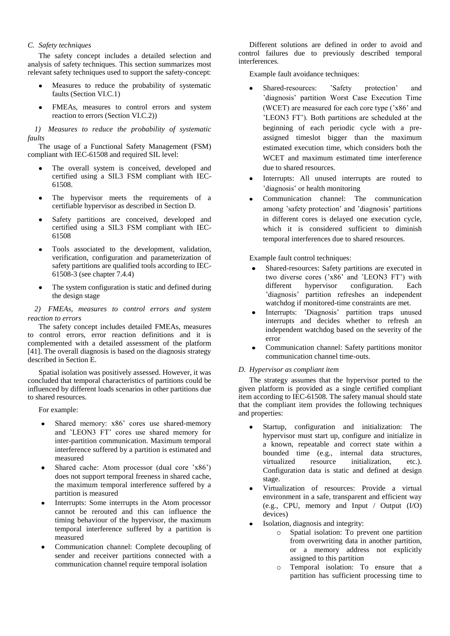# <span id="page-4-0"></span>*C. Safety techniques*

The safety concept includes a detailed selection and analysis of safety techniques. This section summarizes most relevant safety techniques used to support the safety-concept:

- Measures to reduce the probability of systematic faults (Section [VI.C.1\)](#page-4-2)
- $\bullet$ FMEAs, measures to control errors and system reaction to errors (Section [VI.C.2\)\)](#page-4-3)

<span id="page-4-2"></span>*1) Measures to reduce the probability of systematic faults*

The usage of a Functional Safety Management (FSM) compliant with IEC-61508 and required SIL level:

- The overall system is conceived, developed and certified using a SIL3 FSM compliant with IEC-61508.
- The hypervisor meets the requirements of a certifiable hypervisor as described in Sectio[n D.](#page-4-1)
- Safety partitions are conceived, developed and certified using a SIL3 FSM compliant with IEC-61508
- Tools associated to the development, validation, verification, configuration and parameterization of safety partitions are qualified tools according to IEC-61508-3 (see chapter 7.4.4)
- The system configuration is static and defined during the design stage

<span id="page-4-3"></span>*2) FMEAs, measures to control errors and system reaction to errors*

The safety concept includes detailed FMEAs, measures to control errors, error reaction definitions and it is complemented with a detailed assessment of the platform [\[41\]](#page-7-3). The overall diagnosis is based on the diagnosis strategy described in Section [E.](#page-5-5)

Spatial isolation was positively assessed. However, it was concluded that temporal characteristics of partitions could be influenced by different loads scenarios in other partitions due to shared resources.

For example:

- Shared memory: x86' cores use shared-memory and 'LEON3 FT' cores use shared memory for inter-partition communication. Maximum temporal interference suffered by a partition is estimated and measured
- Shared cache: Atom processor (dual core 'x86') does not support temporal freeness in shared cache, the maximum temporal interference suffered by a partition is measured
- Interrupts: Some interrupts in the Atom processor cannot be rerouted and this can influence the timing behaviour of the hypervisor, the maximum temporal interference suffered by a partition is measured
- Communication channel: Complete decoupling of sender and receiver partitions connected with a communication channel require temporal isolation

Different solutions are defined in order to avoid and control failures due to previously described temporal interferences.

Example fault avoidance techniques:

- Shared-resources: 'Safety protection' and 'diagnosis' partition Worst Case Execution Time (WCET) are measured for each core type ('x86' and 'LEON3 FT'). Both partitions are scheduled at the beginning of each periodic cycle with a preassigned timeslot bigger than the maximum estimated execution time, which considers both the WCET and maximum estimated time interference due to shared resources.
- Interrupts: All unused interrupts are routed to 'diagnosis' or health monitoring
- Communication channel: The communication among 'safety protection' and 'diagnosis' partitions in different cores is delayed one execution cycle, which it is considered sufficient to diminish temporal interferences due to shared resources.

Example fault control techniques:

- Shared-resources: Safety partitions are executed in  $\bullet$ two diverse cores ('x86' and 'LEON3 FT') with different hypervisor configuration. Each 'diagnosis' partition refreshes an independent watchdog if monitored-time constraints are met.
- Interrupts: 'Diagnosis' partition traps unused interrupts and decides whether to refresh an independent watchdog based on the severity of the error
- Communication channel: Safety partitions monitor communication channel time-outs.

## <span id="page-4-1"></span>*D. Hypervisor as compliant item*

The strategy assumes that the hypervisor ported to the given platform is provided as a single certified compliant item according to IEC-61508. The safety manual should state that the compliant item provides the following techniques and properties:

- Startup, configuration and initialization: The hypervisor must start up, configure and initialize in a known, repeatable and correct state within a bounded time (e.g., internal data structures, virtualized resource initialization, etc.). Configuration data is static and defined at design stage.
- Virtualization of resources: Provide a virtual environment in a safe, transparent and efficient way (e.g., CPU, memory and Input / Output (I/O) devices)
- Isolation, diagnosis and integrity:
	- o Spatial isolation: To prevent one partition from overwriting data in another partition, or a memory address not explicitly assigned to this partition
	- o Temporal isolation: To ensure that a partition has sufficient processing time to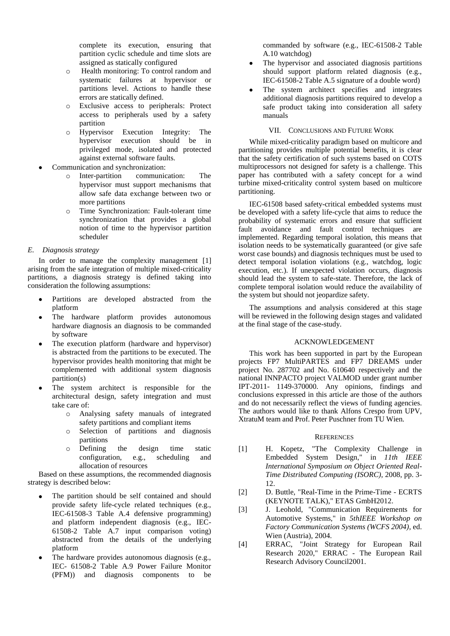complete its execution, ensuring that partition cyclic schedule and time slots are assigned as statically configured

- o Health monitoring: To control random and systematic failures at hypervisor or partitions level. Actions to handle these errors are statically defined.
- o Exclusive access to peripherals: Protect access to peripherals used by a safety partition
- o Hypervisor Execution Integrity: The hypervisor execution should be in privileged mode, isolated and protected against external software faults.
- Communication and synchronization:
	- o Inter-partition communication: The hypervisor must support mechanisms that allow safe data exchange between two or more partitions
	- o Time Synchronization: Fault-tolerant time synchronization that provides a global notion of time to the hypervisor partition scheduler

## <span id="page-5-5"></span>*E. Diagnosis strategy*

In order to manage the complexity management [\[1\]](#page-5-0) arising from the safe integration of multiple mixed-criticality partitions, a diagnosis strategy is defined taking into consideration the following assumptions:

- Partitions are developed abstracted from the platform
- The hardware platform provides autonomous hardware diagnosis an diagnosis to be commanded by software
- The execution platform (hardware and hypervisor) is abstracted from the partitions to be executed. The hypervisor provides health monitoring that might be complemented with additional system diagnosis partition(s)
- The system architect is responsible for the architectural design, safety integration and must take care of:
	- o Analysing safety manuals of integrated safety partitions and compliant items
	- o Selection of partitions and diagnosis partitions
	- o Defining the design time static configuration, e.g., scheduling and allocation of resources

Based on these assumptions, the recommended diagnosis strategy is described below:

- The partition should be self contained and should  $\bullet$ provide safety life-cycle related techniques (e.g., IEC-61508-3 Table A.4 defensive programming) and platform independent diagnosis (e.g., IEC-61508-2 Table A.7 input comparison voting) abstracted from the details of the underlying platform
- The hardware provides autonomous diagnosis (e.g., IEC- 61508-2 Table A.9 Power Failure Monitor (PFM)) and diagnosis components to be

commanded by software (e.g., IEC-61508-2 Table A.10 watchdog)

- The hypervisor and associated diagnosis partitions should support platform related diagnosis (e.g., IEC-61508-2 Table A.5 signature of a double word)
- The system architect specifies and integrates additional diagnosis partitions required to develop a safe product taking into consideration all safety manuals

## VII. CONCLUSIONS AND FUTURE WORK

<span id="page-5-4"></span>While mixed-criticality paradigm based on multicore and partitioning provides multiple potential benefits, it is clear that the safety certification of such systems based on COTS multiprocessors not designed for safety is a challenge. This paper has contributed with a safety concept for a wind turbine mixed-criticality control system based on multicore partitioning.

IEC-61508 based safety-critical embedded systems must be developed with a safety life-cycle that aims to reduce the probability of systematic errors and ensure that sufficient fault avoidance and fault control techniques are implemented. Regarding temporal isolation, this means that isolation needs to be systematically guaranteed (or give safe worst case bounds) and diagnosis techniques must be used to detect temporal isolation violations (e.g., watchdog, logic execution, etc.). If unexpected violation occurs, diagnosis should lead the system to safe-state. Therefore, the lack of complete temporal isolation would reduce the availability of the system but should not jeopardize safety.

The assumptions and analysis considered at this stage will be reviewed in the following design stages and validated at the final stage of the case-study.

#### ACKNOWLEDGEMENT

This work has been supported in part by the European projects FP7 MultiPARTES and FP7 DREAMS under project No. 287702 and No. 610640 respectively and the national INNPACTO project VALMOD under grant number IPT-2011- 1149-370000. Any opinions, findings and conclusions expressed in this article are those of the authors and do not necessarily reflect the views of funding agencies. The authors would like to thank Alfons Crespo from UPV, XtratuM team and Prof. Peter Puschner from TU Wien.

#### **REFERENCES**

- <span id="page-5-0"></span>[1] H. Kopetz, "The Complexity Challenge in Embedded System Design," in *11th IEEE International Symposium on Object Oriented Real-Time Distributed Computing (ISORC)*, 2008, pp. 3- 12.
- <span id="page-5-1"></span>[2] D. Buttle, "Real-Time in the Prime-Time - ECRTS (KEYNOTE TALK)," ETAS GmbH2012.
- <span id="page-5-2"></span>[3] J. Leohold, "Communication Requirements for Automotive Systems," in *5thIEEE Workshop on Factory Communication Systems (WCFS 2004)*, ed. Wien (Austria), 2004.
- <span id="page-5-3"></span>[4] ERRAC, "Joint Strategy for European Rail Research 2020," ERRAC - The European Rail Research Advisory Council2001.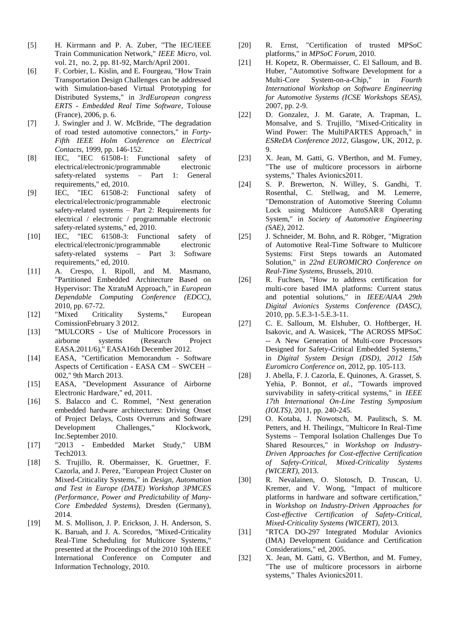- <span id="page-6-0"></span>[5] H. Kirrmann and P. A. Zuber, "The IEC/IEEE Train Communication Network," *IEEE Micro,* vol. vol. 21, no. 2, pp. 81-92, March/April 2001.
- <span id="page-6-1"></span>[6] F. Corbier, L. Kislin, and E. Fourgeau, "How Train Transportation Design Challenges can be addressed with Simulation-based Virtual Prototyping for Distributed Systems," in *3rdEuropean congress ERTS - Embedded Real Time Software*, Tolouse (France), 2006, p. 6.
- <span id="page-6-2"></span>[7] J. Swingler and J. W. McBride, "The degradation of road tested automotive connectors," in *Forty-Fifth IEEE Holm Conference on Electrical Contacts*, 1999, pp. 146-152.
- <span id="page-6-3"></span>[8] IEC, "IEC 61508-1: Functional safety of electrical/electronic/programmable electronic safety-related systems – Part 1: General requirements," ed, 2010.
- <span id="page-6-12"></span>[9] IEC, "IEC 61508-2: Functional safety of electrical/electronic/programmable electronic safety-related systems – Part 2: Requirements for electrical / electronic / programmable electronic safety-related systems," ed, 2010.
- [10] IEC, "IEC 61508-3: Functional safety of electrical/electronic/programmable electronic safety-related systems – Part 3: Software requirements," ed, 2010.
- <span id="page-6-4"></span>[11] A. Crespo, I. Ripoll, and M. Masmano, "Partitioned Embedded Architecture Based on Hypervisor: The XtratuM Approach," in *European Dependable Computing Conference (EDCC)*, 2010, pp. 67-72.
- <span id="page-6-5"></span>[12] "Mixed Criticality Systems," European ComissionFebruary 3 2012.
- [13] "MULCORS Use of Multicore Processors in airborne systems (Research Project EASA.2011/6)," EASA16th December 2012.
- <span id="page-6-15"></span>[14] EASA, "Certification Memorandum - Software Aspects of Certification - EASA CM – SWCEH – 002," 9th March 2013.
- <span id="page-6-16"></span>[15] EASA, "Development Assurance of Airborne Electronic Hardware," ed, 2011.
- [16] S. Balacco and C. Rommel, "Next generation embedded hardware architectures: Driving Onset of Project Delays, Costs Overruns and Software Development Challenges," Klockwork, Inc.September 2010.
- [17] "2013 Embedded Market Study," UBM Tech2013.
- <span id="page-6-6"></span>[18] S. Trujillo, R. Obermaisser, K. Gruettner, F. Cazorla, and J. Perez, "European Project Cluster on Mixed-Criticality Systems," in *Design, Automation and Test in Europe (DATE) Workshop 3PMCES (Performance, Power and Predictability of Many-Core Embedded Systems)*, Dresden (Germany), 2014.
- <span id="page-6-7"></span>[19] M. S. Mollison, J. P. Erickson, J. H. Anderson, S. K. Baruah, and J. A. Scoredos, "Mixed-Criticality Real-Time Scheduling for Multicore Systems," presented at the Proceedings of the 2010 10th IEEE International Conference on Computer and Information Technology, 2010.
- [20] R. Ernst, "Certification of trusted MPSoC platforms," in *MPSoC Forum*, 2010.
- [21] H. Kopetz, R. Obermaisser, C. El Salloum, and B. Huber, "Automotive Software Development for a<br>Multi-Core System-on-a-Chip." in Fourth Multi-Core System-on-a-Chip." *International Workshop on Software Engineering for Automotive Systems (ICSE Workshops SEAS)*, 2007, pp. 2-9.
- [22] D. Gonzalez, J. M. Garate, A. Trapman, L. Monsalve, and S. Trujillo, "Mixed-Criticality in Wind Power: The MultiPARTES Approach," in *ESReDA Conference 2012*, Glasgow, UK, 2012, p. 9.
- [23] X. Jean, M. Gatti, G. VBerthon, and M. Fumey, "The use of multicore processors in airborne systems," Thales Avionics2011.
- <span id="page-6-8"></span>[24] S. P. Brewerton, N. Willey, S. Gandhi, T. Rosenthal, C. Stellwag, and M. Lemerre, "Demonstration of Automotive Steering Column Lock using Multicore AutoSAR® Operating System," in *Society of Automotive Engineering (SAE)*, 2012.
- <span id="page-6-9"></span>[25] J. Schneider, M. Bohn, and R. Röbger, "Migration" of Automotive Real-Time Software to Multicore Systems: First Steps towards an Automated Solution," in *22nd EUROMICRO Conference on Real-Time Systems*, Brussels, 2010.
- [26] R. Fuchsen, "How to address certification for multi-core based IMA platforms: Current status and potential solutions," in *IEEE/AIAA 29th Digital Avionics Systems Conference (DASC)*, 2010, pp. 5.E.3-1-5.E.3-11.
- <span id="page-6-13"></span>[27] C. E. Salloum, M. Elshuber, O. Hoftberger, H. Isakovic, and A. Wasicek, "The ACROSS MPSoC -- A New Generation of Multi-core Processors Designed for Safety-Critical Embedded Systems," in *Digital System Design (DSD), 2012 15th Euromicro Conference on*, 2012, pp. 105-113.
- [28] J. Abella, F. J. Cazorla, E. Quinones, A. Grasset, S. Yehia, P. Bonnot*, et al.*, "Towards improved survivability in safety-critical systems," in *IEEE 17th International On-Line Testing Symposium (IOLTS)*, 2011, pp. 240-245.
- <span id="page-6-10"></span>[29] O. Kotaba, J. Nowotsch, M. Paulitsch, S. M. Petters, and H. Theilingx, "Multicore In Real-Time Systems – Temporal Isolation Challenges Due To Shared Resources," in *Workshop on Industry-Driven Approaches for Cost-effective Certification of Safety-Critical, Mixed-Criticality Systems (WICERT)*, 2013.
- <span id="page-6-11"></span>[30] R. Nevalainen, O. Slotosch, D. Truscan, U. Kremer, and V. Wong, "Impact of multicore platforms in hardware and software certification," in *Workshop on Industry-Driven Approaches for Cost-effective Certification of Safety-Critical, Mixed-Criticality Systems (WICERT)*, 2013.
- <span id="page-6-14"></span>[31] "RTCA DO-297 Integrated Modular Avionics (IMA) Development Guidance and Certification Considerations," ed, 2005.
- <span id="page-6-17"></span>[32] X. Jean, M. Gatti, G. VBerthon, and M. Fumey, "The use of multicore processors in airborne systems," Thales Avionics2011.